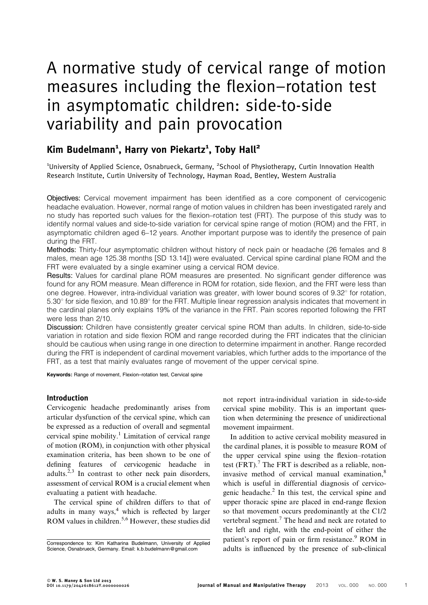# A normative study of cervical range of motion measures including the flexion–rotation test in asymptomatic children: side-to-side variability and pain provocation

# Kim Budelmann<sup>1</sup>, Harry von Piekartz<sup>1</sup>, Toby Hall<sup>2</sup>

<sup>1</sup>University of Applied Science, Osnabrueck, Germany, <sup>2</sup>School of Physiotherapy, Curtin Innovation Health Research Institute, Curtin University of Technology, Hayman Road, Bentley, Western Australia

Objectives: Cervical movement impairment has been identified as a core component of cervicogenic headache evaluation. However, normal range of motion values in children has been investigated rarely and no study has reported such values for the flexion–rotation test (FRT). The purpose of this study was to identify normal values and side-to-side variation for cervical spine range of motion (ROM) and the FRT, in asymptomatic children aged 6–12 years. Another important purpose was to identify the presence of pain during the FRT.

Methods: Thirty-four asymptomatic children without history of neck pain or headache (26 females and 8 males, mean age 125.38 months [SD 13.14]) were evaluated. Cervical spine cardinal plane ROM and the FRT were evaluated by a single examiner using a cervical ROM device.

Results: Values for cardinal plane ROM measures are presented. No significant gender difference was found for any ROM measure. Mean difference in ROM for rotation, side flexion, and the FRT were less than one degree. However, intra-individual variation was greater, with lower bound scores of  $9.32^{\circ}$  for rotation,  $5.30^{\circ}$  for side flexion, and 10.89 $^{\circ}$  for the FRT. Multiple linear regression analysis indicates that movement in the cardinal planes only explains 19% of the variance in the FRT. Pain scores reported following the FRT were less than 2/10.

Discussion: Children have consistently greater cervical spine ROM than adults. In children, side-to-side variation in rotation and side flexion ROM and range recorded during the FRT indicates that the clinician should be cautious when using range in one direction to determine impairment in another. Range recorded during the FRT is independent of cardinal movement variables, which further adds to the importance of the FRT, as a test that mainly evaluates range of movement of the upper cervical spine.

Keywords: Range of movement, Flexion–rotation test, Cervical spine

#### Introduction

Cervicogenic headache predominantly arises from articular dysfunction of the cervical spine, which can be expressed as a reduction of overall and segmental cervical spine mobility.<sup>1</sup> Limitation of cervical range of motion (ROM), in conjunction with other physical examination criteria, has been shown to be one of defining features of cervicogenic headache in adults.<sup>2,3</sup> In contrast to other neck pain disorders, assessment of cervical ROM is a crucial element when evaluating a patient with headache.

The cervical spine of children differs to that of adults in many ways, $4$  which is reflected by larger ROM values in children.<sup>5,6</sup> However, these studies did

not report intra-individual variation in side-to-side cervical spine mobility. This is an important question when determining the presence of unidirectional movement impairment.

In addition to active cervical mobility measured in the cardinal planes, it is possible to measure ROM of the upper cervical spine using the flexion–rotation test  $(FRT)$ .<sup>7</sup> The FRT is described as a reliable, noninvasive method of cervical manual examination,<sup>8</sup> which is useful in differential diagnosis of cervicogenic headache.<sup>2</sup> In this test, the cervical spine and upper thoracic spine are placed in end-range flexion so that movement occurs predominantly at the C1/2 vertebral segment.<sup>7</sup> The head and neck are rotated to the left and right, with the end-point of either the patient's report of pain or firm resistance.<sup>9</sup> ROM in Correspondence to: Kim Katharina Budelmann, University of Applied<br>Science, Osnabrueck, Germany. Email: k.b.budelmann@gmail.com adults is influenced by the presence of sub-clinical

Science, Osnabrueck, Germany. Email: k.b.budelmann@gmail.com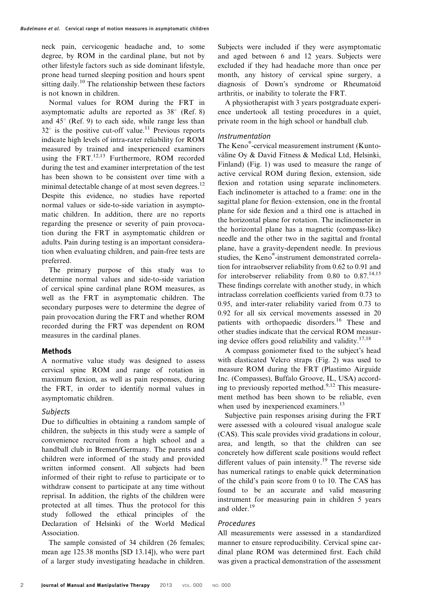neck pain, cervicogenic headache and, to some degree, by ROM in the cardinal plane, but not by other lifestyle factors such as side dominant lifestyle, prone head turned sleeping position and hours spent sitting daily.<sup>10</sup> The relationship between these factors is not known in children.

Normal values for ROM during the FRT in asymptomatic adults are reported as  $38^\circ$  (Ref. 8) and  $45^{\circ}$  (Ref. 9) to each side, while range less than  $32^\circ$  is the positive cut-off value.<sup>11</sup> Previous reports indicate high levels of intra-rater reliability for ROM measured by trained and inexperienced examiners using the FRT. $^{12,13}$  Furthermore, ROM recorded during the test and examiner interpretation of the test has been shown to be consistent over time with a minimal detectable change of at most seven degrees.<sup>12</sup> Despite this evidence, no studies have reported normal values or side-to-side variation in asymptomatic children. In addition, there are no reports regarding the presence or severity of pain provocation during the FRT in asymptomatic children or adults. Pain during testing is an important consideration when evaluating children, and pain-free tests are preferred.

The primary purpose of this study was to determine normal values and side-to-side variation of cervical spine cardinal plane ROM measures, as well as the FRT in asymptomatic children. The secondary purposes were to determine the degree of pain provocation during the FRT and whether ROM recorded during the FRT was dependent on ROM measures in the cardinal planes.

#### Methods

A normative value study was designed to assess cervical spine ROM and range of rotation in maximum flexion, as well as pain responses, during the FRT, in order to identify normal values in asymptomatic children.

# Subjects

Due to difficulties in obtaining a random sample of children, the subjects in this study were a sample of convenience recruited from a high school and a handball club in Bremen/Germany. The parents and children were informed of the study and provided written informed consent. All subjects had been informed of their right to refuse to participate or to withdraw consent to participate at any time without reprisal. In addition, the rights of the children were protected at all times. Thus the protocol for this study followed the ethical principles of the Declaration of Helsinki of the World Medical Association.

The sample consisted of 34 children (26 females; mean age 125.38 months [SD 13.14]), who were part of a larger study investigating headache in children. Subjects were included if they were asymptomatic and aged between 6 and 12 years. Subjects were excluded if they had headache more than once per month, any history of cervical spine surgery, a diagnosis of Down's syndrome or Rheumatoid arthritis, or inability to tolerate the FRT.

A physiotherapist with 3 years postgraduate experience undertook all testing procedures in a quiet, private room in the high school or handball club.

# Instrumentation

The Keno<sup>®</sup>-cervical measurement instrument (Kuntoväline Oy & David Fitness & Medical Ltd, Helsinki, Finland) (Fig. 1) was used to measure the range of active cervical ROM during flexion, extension, side flexion and rotation using separate inclinometers. Each inclinometer is attached to a frame: one in the sagittal plane for flexion–extension, one in the frontal plane for side flexion and a third one is attached in the horizontal plane for rotation. The inclinometer in the horizontal plane has a magnetic (compass-like) needle and the other two in the sagittal and frontal plane, have a gravity-dependent needle. In previous studies, the Keno®-instrument demonstrated correlation for intraobserver reliability from 0.62 to 0.91 and for interobserver reliability from  $0.80$  to  $0.87$ .<sup>14,15</sup> These findings correlate with another study, in which intraclass correlation coefficients varied from 0.73 to 0.95, and inter-rater reliability varied from 0.73 to 0.92 for all six cervical movements assessed in 20 patients with orthopaedic disorders.16 These and other studies indicate that the cervical ROM measuring device offers good reliability and validity. $17,18$ 

A compass goniometer fixed to the subject's head with elasticated Velcro straps (Fig. 2) was used to measure ROM during the FRT (Plastimo Airguide Inc. (Compasses), Buffalo Groove, IL, USA) according to previously reported method.9,12 This measurement method has been shown to be reliable, even when used by inexperienced examiners.<sup>13</sup>

Subjective pain responses arising during the FRT were assessed with a coloured visual analogue scale (CAS). This scale provides vivid gradations in colour, area, and length, so that the children can see concretely how different scale positions would reflect different values of pain intensity.<sup>19</sup> The reverse side has numerical ratings to enable quick determination of the child's pain score from 0 to 10. The CAS has found to be an accurate and valid measuring instrument for measuring pain in children 5 years and older.<sup>19</sup>

### Procedures

All measurements were assessed in a standardized manner to ensure reproducibility. Cervical spine cardinal plane ROM was determined first. Each child was given a practical demonstration of the assessment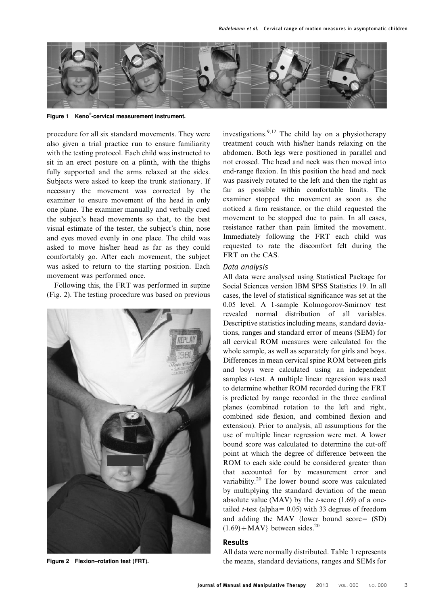

Figure 1 Keno<sup>®</sup>-cervical measurement instrument.

procedure for all six standard movements. They were also given a trial practice run to ensure familiarity with the testing protocol. Each child was instructed to sit in an erect posture on a plinth, with the thighs fully supported and the arms relaxed at the sides. Subjects were asked to keep the trunk stationary. If necessary the movement was corrected by the examiner to ensure movement of the head in only one plane. The examiner manually and verbally cued the subject's head movements so that, to the best visual estimate of the tester, the subject's chin, nose and eyes moved evenly in one place. The child was asked to move his/her head as far as they could comfortably go. After each movement, the subject was asked to return to the starting position. Each movement was performed once.

Following this, the FRT was performed in supine (Fig. 2). The testing procedure was based on previous



Figure 2 Flexion–rotation test (FRT).

investigations. <sup>9,12</sup> The child lay on a physiotherapy treatment couch with his/her hands relaxing on the abdomen. Both legs were positioned in parallel and not crossed. The head and neck was then moved into end-range flexion. In this position the head and neck was passively rotated to the left and then the right as far as possible within comfortable limits. The examiner stopped the movement as soon as she noticed a firm resistance, or the child requested the movement to be stopped due to pain. In all cases, resistance rather than pain limited the movement. Immediately following the FRT each child was requested to rate the discomfort felt during the FRT on the CAS.

#### Data analysis

All data were analysed using Statistical Package for Social Sciences version IBM SPSS Statistics 19. In all cases, the level of statistical significance was set at the 0.05 level. A 1-sample Kolmogorov-Smirnov test revealed normal distribution of all variables. Descriptive statistics including means, standard deviations, ranges and standard error of means (SEM) for all cervical ROM measures were calculated for the whole sample, as well as separately for girls and boys. Differences in mean cervical spine ROM between girls and boys were calculated using an independent samples *t*-test. A multiple linear regression was used to determine whether ROM recorded during the FRT is predicted by range recorded in the three cardinal planes (combined rotation to the left and right, combined side flexion, and combined flexion and extension). Prior to analysis, all assumptions for the use of multiple linear regression were met. A lower bound score was calculated to determine the cut-off point at which the degree of difference between the ROM to each side could be considered greater than that accounted for by measurement error and variability.20 The lower bound score was calculated by multiplying the standard deviation of the mean absolute value (MAV) by the  $t$ -score (1.69) of a onetailed  $t$ -test (alpha= 0.05) with 33 degrees of freedom and adding the MAV {lower bound score=  $(SD)$  $(1.69)$  + MAV} between sides.<sup>20</sup>

# Results

All data were normally distributed. Table 1 represents the means, standard deviations, ranges and SEMs for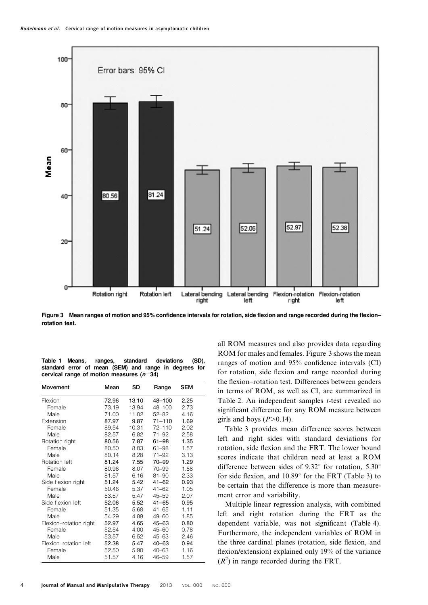

Figure 3 Mean ranges of motion and 95% confidence intervals for rotation, side flexion and range recorded during the flexion– rotation test.

|  | Table 1 Means, ranges, standard deviations (SD),      |  |  |
|--|-------------------------------------------------------|--|--|
|  | standard error of mean (SEM) and range in degrees for |  |  |
|  | cervical range of motion measures $(n=34)$            |  |  |

| Movement               | Mean  | SD    | Range      | SEM  |
|------------------------|-------|-------|------------|------|
| Flexion                | 72.96 | 13.10 | 48-100     | 2.25 |
| Female                 | 73.19 | 13.94 | 48-100     | 2.73 |
| Male                   | 71.00 | 11.02 | $52 - 82$  | 4.16 |
| Extension              | 87.97 | 9.87  | $71 - 110$ | 1.69 |
| Female                 | 89.54 | 10.31 | $72 - 110$ | 2.02 |
| Male                   | 82.57 | 6.82  | $71 - 92$  | 2.58 |
| Rotation right         | 80.56 | 7.87  | $61 - 98$  | 1.35 |
| Female                 | 80.50 | 8.03  | 61-98      | 1.57 |
| Male                   | 80.14 | 8.28  | 71-92      | 3.13 |
| <b>Rotation left</b>   | 81.24 | 7.55  | $70 - 99$  | 1.29 |
| Female                 | 80.96 | 8.07  | 70-99      | 1.58 |
| Male                   | 81.57 | 6.16  | $81 - 90$  | 2.33 |
| Side flexion right     | 51.24 | 5.42  | $41 - 62$  | 0.93 |
| Female                 | 50.46 | 5.37  | $41 - 62$  | 1.05 |
| Male                   | 53.57 | 5.47  | $45 - 59$  | 2.07 |
| Side flexion left      | 52.06 | 5.52  | $41 - 65$  | 0.95 |
| Female                 | 51.35 | 5.68  | $41 - 65$  | 1.11 |
| Male                   | 54.29 | 4.89  | $49 - 60$  | 1.85 |
| Flexion-rotation right | 52.97 | 4.65  | $45 - 63$  | 0.80 |
| Female                 | 52.54 | 4.00  | $45 - 60$  | 0.78 |
| Male                   | 53.57 | 6.52  | $45 - 63$  | 2.46 |
| Flexion-rotation left  | 52.38 | 5.47  | $40 - 63$  | 0.94 |
| Female                 | 52.50 | 5.90  | $40 - 63$  | 1.16 |
| Male                   | 51.57 | 4.16  | $46 - 59$  | 1.57 |

all ROM measures and also provides data regarding ROM for males and females. Figure 3 shows the mean ranges of motion and 95% confidence intervals (CI) for rotation, side flexion and range recorded during the flexion–rotation test. Differences between genders in terms of ROM, as well as CI, are summarized in Table 2. An independent samples t-test revealed no significant difference for any ROM measure between girls and boys  $(P>0.14)$ .

Table 3 provides mean difference scores between left and right sides with standard deviations for rotation, side flexion and the FRT. The lower bound scores indicate that children need at least a ROM difference between sides of  $9.32^{\circ}$  for rotation,  $5.30^{\circ}$ for side flexion, and  $10.89^{\circ}$  for the FRT (Table 3) to be certain that the difference is more than measurement error and variability.

Multiple linear regression analysis, with combined left and right rotation during the FRT as the dependent variable, was not significant (Table 4). Furthermore, the independent variables of ROM in the three cardinal planes (rotation, side flexion, and flexion/extension) explained only 19% of the variance  $(R<sup>2</sup>)$  in range recorded during the FRT.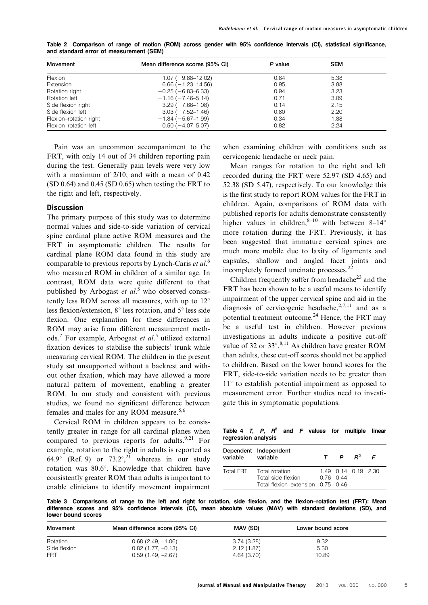| Movement               | Mean difference scores (95% CI) | P value | <b>SEM</b> |  |
|------------------------|---------------------------------|---------|------------|--|
| Flexion                | $1.07 (-9.88 - 12.02)$          | 0.84    | 5.38       |  |
| Extension              | $6.66(-1.23-14.56)$             | 0.95    | 3.88       |  |
| Rotation right         | $-0.25$ ( $-6.83-6.33$ )        | 0.94    | 3.23       |  |
| Rotation left          | $-1.16(-7.46-5.14)$             | 0.71    | 3.09       |  |
| Side flexion right     | $-3.29(-7.66-1.08)$             | 0.14    | 2.15       |  |
| Side flexion left      | $-3.03(-7.52-1.46)$             | 0.80    | 2.20       |  |
| Flexion-rotation right | $-1.84(-5.67-1.99)$             | 0.34    | 1.88       |  |
| Flexion-rotation left  | $0.50(-4.07-5.07)$              | 0.82    | 2.24       |  |

Table 2 Comparison of range of motion (ROM) across gender with 95% confidence intervals (CI), statistical significance, and standard error of measurement (SEM)

Pain was an uncommon accompaniment to the FRT, with only 14 out of 34 children reporting pain during the test. Generally pain levels were very low with a maximum of 2/10, and with a mean of 0.42 (SD 0.64) and 0.45 (SD 0.65) when testing the FRT to the right and left, respectively.

# Discussion

The primary purpose of this study was to determine normal values and side-to-side variation of cervical spine cardinal plane active ROM measures and the FRT in asymptomatic children. The results for cardinal plane ROM data found in this study are comparable to previous reports by Lynch-Caris et al.<sup>6</sup> who measured ROM in children of a similar age. In contrast, ROM data were quite different to that published by Arbogast et  $al$ <sup>5</sup> who observed consistently less ROM across all measures, with up to  $12^{\circ}$ less flexion/extension,  $8^\circ$  less rotation, and  $5^\circ$  less side flexion. One explanation for these differences in ROM may arise from different measurement methods.<sup>7</sup> For example, Arbogast et al.<sup>5</sup> utilized external fixation devices to stabilise the subjects' trunk while measuring cervical ROM. The children in the present study sat unsupported without a backrest and without other fixation, which may have allowed a more natural pattern of movement, enabling a greater ROM. In our study and consistent with previous studies, we found no significant difference between females and males for any ROM measure.<sup>5,6</sup>

Cervical ROM in children appears to be consistently greater in range for all cardinal planes when compared to previous reports for adults.<sup>9,21</sup> For example, rotation to the right in adults is reported as 64.9° (Ref. 9) or  $73.2^{\circ},^{21}$  whereas in our study rotation was  $80.6^\circ$ . Knowledge that children have consistently greater ROM than adults is important to enable clinicians to identify movement impairment when examining children with conditions such as cervicogenic headache or neck pain.

Mean ranges for rotation to the right and left recorded during the FRT were 52.97 (SD 4.65) and 52.38 (SD 5.47), respectively. To our knowledge this is the first study to report ROM values for the FRT in children. Again, comparisons of ROM data with published reports for adults demonstrate consistently higher values in children,  $8-10$  with between  $8-14^\circ$ more rotation during the FRT. Previously, it has been suggested that immature cervical spines are much more mobile due to laxity of ligaments and capsules, shallow and angled facet joints and incompletely formed uncinate processes.<sup>22</sup>

Children frequently suffer from headache<sup>23</sup> and the FRT has been shown to be a useful means to identify impairment of the upper cervical spine and aid in the diagnosis of cervicogenic headache,  $2,7,11$  and as a potential treatment outcome. $^{24}$  Hence, the FRT may be a useful test in children. However previous investigations in adults indicate a positive cut-off value of 32 or  $33^{\circ}$ .<sup>8,11</sup> As children have greater ROM than adults, these cut-off scores should not be applied to children. Based on the lower bound scores for the FRT, side-to-side variation needs to be greater than  $11<sup>o</sup>$  to establish potential impairment as opposed to measurement error. Further studies need to investigate this in symptomatic populations.

Table 4 T, P,  $R^2$  and F values for multiple linear regression analysis

| variable | Dependent Independent<br>variable                                                   |           | $T$ $P$ $R^2$ $F$   |  |  |
|----------|-------------------------------------------------------------------------------------|-----------|---------------------|--|--|
|          | Total FRT Total rotation<br>Total side flexion<br>Total flexion-extension 0.75 0.46 | 0.76 0.44 | 1.49 0.14 0.19 2.30 |  |  |

Table 3 Comparisons of range to the left and right for rotation, side flexion, and the flexion–rotation test (FRT): Mean difference scores and 95% confidence intervals (CI), mean absolute values (MAV) with standard deviations (SD), and lower bound scores

| Movement     | Mean difference score (95% CI) | MAV (SD)    | Lower bound score |
|--------------|--------------------------------|-------------|-------------------|
| Rotation     | $0.68$ (2.49, $-1.06$ )        | 3.74(3.28)  | 9.32              |
| Side flexion | $0.82(1.77, -0.13)$            | 2.12(1.87)  | 5.30              |
| <b>FRT</b>   | $0.59(1.49, -2.67)$            | 4.64 (3.70) | 10.89             |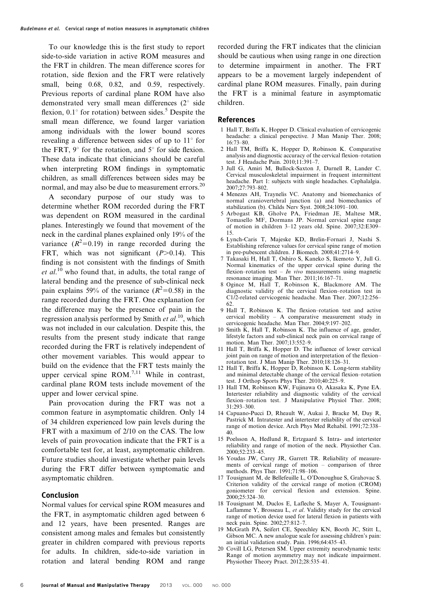To our knowledge this is the first study to report side-to-side variation in active ROM measures and the FRT in children. The mean difference scores for rotation, side flexion and the FRT were relatively small, being 0.68, 0.82, and 0.59, respectively. Previous reports of cardinal plane ROM have also demonstrated very small mean differences  $(2^{\circ}$  side flexion,  $0.1^{\circ}$  for rotation) between sides.<sup>5</sup> Despite the small mean difference, we found larger variation among individuals with the lower bound scores revealing a difference between sides of up to  $11^{\circ}$  for the FRT,  $9^{\circ}$  for the rotation, and  $5^{\circ}$  for side flexion. These data indicate that clinicians should be careful when interpreting ROM findings in symptomatic children, as small differences between sides may be normal, and may also be due to measurement errors.<sup>20</sup>

A secondary purpose of our study was to determine whether ROM recorded during the FRT was dependent on ROM measured in the cardinal planes. Interestingly we found that movement of the neck in the cardinal planes explained only 19% of the variance  $(R^2=0.19)$  in range recorded during the FRT, which was not significant  $(P>0.14)$ . This finding is not consistent with the findings of Smith et  $al$ <sup>10</sup> who found that, in adults, the total range of lateral bending and the presence of sub-clinical neck pain explains 59% of the variance  $(R^2=0.58)$  in the range recorded during the FRT. One explanation for the difference may be the presence of pain in the regression analysis performed by Smith et al.<sup>10</sup>, which was not included in our calculation. Despite this, the results from the present study indicate that range recorded during the FRT is relatively independent of other movement variables. This would appear to build on the evidence that the FRT tests mainly the upper cervical spine  $ROM.^{7,11}$  While in contrast, cardinal plane ROM tests include movement of the upper and lower cervical spine.

Pain provocation during the FRT was not a common feature in asymptomatic children. Only 14 of 34 children experienced low pain levels during the FRT with a maximum of 2/10 on the CAS. The low levels of pain provocation indicate that the FRT is a comfortable test for, at least, asymptomatic children. Future studies should investigate whether pain levels during the FRT differ between symptomatic and asymptomatic children.

#### Conclusion

Normal values for cervical spine ROM measures and the FRT, in asymptomatic children aged between 6 and 12 years, have been presented. Ranges are consistent among males and females but consistently greater in children compared with previous reports for adults. In children, side-to-side variation in rotation and lateral bending ROM and range

recorded during the FRT indicates that the clinician should be cautious when using range in one direction to determine impairment in another. The FRT appears to be a movement largely independent of cardinal plane ROM measures. Finally, pain during the FRT is a minimal feature in asymptomatic children.

#### References

- 1 Hall T, Briffa K, Hopper D. Clinical evaluation of cervicogenic headache: a clinical perspective. J Man Manip Ther. 2008; 16:73–80.
- 2 Hall TM, Briffa K, Hopper D, Robinson K. Comparative analysis and diagnostic accuracy of the cervical flexion–rotation test. J Headache Pain. 2010;11:391–7.
- 3 Jull G, Amiri M, Bullock-Saxton J, Darnell R, Lander C. Cervical musculoskeletal impairment in frequent intermittent headache. Part 1: subjects with single headaches. Cephalalgia. 2007;27:793–802.
- 4 Menezes AH, Traynelis VC. Anatomy and biomechanics of normal craniovertebral junction (a) and biomechanics of stabilization (b). Childs Nerv Syst. 2008;24:1091–100.
- 5 Arbogast KB, Gholve PA, Friedman JE, Maltese MR, Tomasello MF, Dormans JP. Normal cervical spine range of motion in children 3–12 years old. Spine. 2007;32:E309– 15.
- 6 Lynch-Caris T, Majeske KD, Brelin-Fornari J, Nashi S. Establishing reference values for cervical spine range of motion in pre-pubescent children. J Biomech. 2008;41:2714–9.
- 7 Takasaki H, Hall T, Oshiro S, Kaneko S, Ikemoto Y, Jull G. Normal kinematics of the upper cervical spine during the flexion–rotation test – In vivo measurements using magnetic resonance imaging. Man Ther. 2011;16:167–71.
- 8 Ogince M, Hall T, Robinson K, Blackmore AM. The diagnostic validity of the cervical flexion–rotation test in C1/2-related cervicogenic headache. Man Ther. 2007;12:256– 62.
- 9 Hall T, Robinson K. The flexion–rotation test and active cervical mobility – A comparative measurement study in cervicogenic headache. Man Ther. 2004;9:197–202.
- 10 Smith K, Hall T, Robinson K. The influence of age, gender, lifestyle factors and sub-clinical neck pain on cervical range of motion. Man Ther. 2007;13:552–9.
- 11 Hall T, Briffa K, Hopper D. The influence of lower cervical joint pain on range of motion and interpretation of the flexion– rotation test. J Man Manip Ther. 2010;18:126–31.
- 12 Hall T, Briffa K, Hopper D, Robinson K. Long-term stability and minimal detectable change of the cervical flexion–rotation test. J Orthop Sports Phys Ther. 2010;40:225–9.
- 13 Hall TM, Robinson KW, Fujinawa O, Akasaka K, Pyne EA. Intertester reliability and diagnostic validity of the cervical flexion–rotation test. J Manipulative Physiol Ther. 2008; 31:293–300.
- 14 Capuano-Pucci D, Rheault W, Aukai J, Bracke M, Day R, Pastrick M. Intratester and intertester reliability of the cervical range of motion device. Arch Phys Med Rehabil. 1991;72:338– 40.
- 15 Poelsson A, Hedlund R, Ertzgaard S. Intra- and intertester reliability and range of motion of the neck. Physiother Can. 2000;52:233–45.
- 16 Youdas JW, Carey JR, Garrett TR. Reliability of measurements of cervical range of motion – comparison of three methods. Phys Ther. 1991;71:98–106.
- 17 Tousignant M, de Bellefeuille L, O'Donoughue S, Grahovac S. Criterion validity of the cervical range of motion (CROM) goniometer for cervical flexion and extension. Spine. 2000;25:324–30.
- 18 Tousignant M, Duclos E, Lafleche S, Mayer A, Tousignant-Laflamme Y, Brosseau L, et al. Validity study for the cervical range of motion device used for lateral flexion in patients with neck pain. Spine. 2002;27:812–7.
- 19 McGrath PA, Seifert CE, Speechley KN, Booth JC, Stitt L, Gibson MC. A new analogue scale for assessing children's pain: an initial validation study. Pain. 1996;64:435–43.
- 20 Covill LG, Petersen SM. Upper extremity neurodynamic tests: Range of motion asymmetry may not indicate impairment. Physiother Theory Pract. 2012;28:535–41.